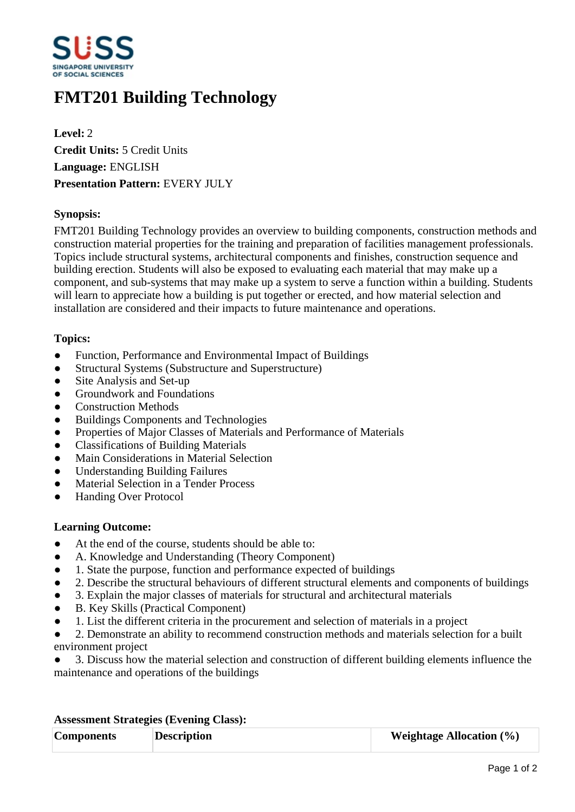

# **FMT201 Building Technology**

**Level:** 2 **Credit Units:** 5 Credit Units **Language:** ENGLISH **Presentation Pattern:** EVERY JULY

## **Synopsis:**

FMT201 Building Technology provides an overview to building components, construction methods and construction material properties for the training and preparation of facilities management professionals. Topics include structural systems, architectural components and finishes, construction sequence and building erection. Students will also be exposed to evaluating each material that may make up a component, and sub-systems that may make up a system to serve a function within a building. Students will learn to appreciate how a building is put together or erected, and how material selection and installation are considered and their impacts to future maintenance and operations.

### **Topics:**

- Function, Performance and Environmental Impact of Buildings
- Structural Systems (Substructure and Superstructure)
- Site Analysis and Set-up
- Groundwork and Foundations
- Construction Methods
- Buildings Components and Technologies
- Properties of Major Classes of Materials and Performance of Materials
- ƔClassifications of Building Materials
- Main Considerations in Material Selection
- ƔUnderstanding Building Failures
- Material Selection in a Tender Process
- ƔHanding Over Protocol

### **Learning Outcome:**

- At the end of the course, students should be able to:
- A. Knowledge and Understanding (Theory Component)
- 1. State the purpose, function and performance expected of buildings
- 2. Describe the structural behaviours of different structural elements and components of buildings
- Ɣ3. Explain the major classes of materials for structural and architectural materials
- B. Key Skills (Practical Component)
- Ɣ1. List the different criteria in the procurement and selection of materials in a project
- 2. Demonstrate an ability to recommend construction methods and materials selection for a built environment project
- Ɣ3. Discuss how the material selection and construction of different building elements influence the maintenance and operations of the buildings

### **Assessment Strategies (Evening Class):**

| <b>Components</b> | <b>Description</b> | <b>Weightage Allocation</b> $(\%)$ |
|-------------------|--------------------|------------------------------------|
|                   |                    |                                    |